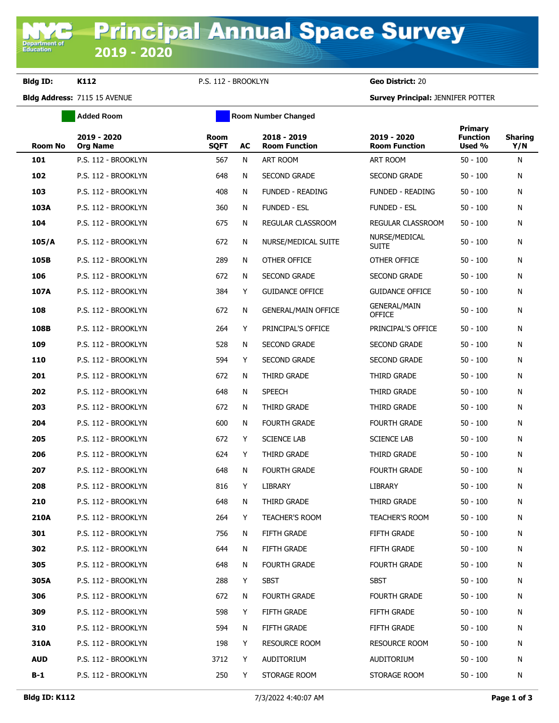**Department of**<br>Education

**Bldg ID: K112** P.S. 112 - BROOKLYN **Geo District:** 20

**Bldg Address:** 7115 15 AVENUE **Survey Principal:** JENNIFER POTTER

| <b>Added Room</b>              | <b>Room Number Changed</b> |    |                                     |                                      |                                      |                       |  |
|--------------------------------|----------------------------|----|-------------------------------------|--------------------------------------|--------------------------------------|-----------------------|--|
| 2019 - 2020<br><b>Org Name</b> | <b>Room</b><br><b>SQFT</b> | AC | 2018 - 2019<br><b>Room Function</b> | 2019 - 2020<br><b>Room Function</b>  | Primary<br><b>Function</b><br>Used % | <b>Sharing</b><br>Y/N |  |
| P.S. 112 - BROOKLYN            | 567                        | N  | <b>ART ROOM</b>                     | <b>ART ROOM</b>                      | $50 - 100$                           | N                     |  |
| P.S. 112 - BROOKLYN            | 648                        | N  | <b>SECOND GRADE</b>                 | <b>SECOND GRADE</b>                  | $50 - 100$                           | N                     |  |
| P.S. 112 - BROOKLYN            | 408                        | N  | <b>FUNDED - READING</b>             | <b>FUNDED - READING</b>              | 50 - 100                             | N                     |  |
| P.S. 112 - BROOKLYN            | 360                        | N  | <b>FUNDED - ESL</b>                 | <b>FUNDED - ESL</b>                  | $50 - 100$                           | N                     |  |
| P.S. 112 - BROOKLYN            | 675                        | N  | REGULAR CLASSROOM                   | REGULAR CLASSROOM                    | $50 - 100$                           | N                     |  |
| P.S. 112 - BROOKLYN            | 672                        | N  | NURSE/MEDICAL SUITE                 | NURSE/MEDICAL<br><b>SUITE</b>        | $50 - 100$                           | N                     |  |
| P.S. 112 - BROOKLYN            | 289                        | N  | OTHER OFFICE                        | OTHER OFFICE                         | $50 - 100$                           | N                     |  |
| P.S. 112 - BROOKLYN            | 672                        | N  | <b>SECOND GRADE</b>                 | <b>SECOND GRADE</b>                  | $50 - 100$                           | N                     |  |
| P.S. 112 - BROOKLYN            | 384                        | Y  | <b>GUIDANCE OFFICE</b>              | <b>GUIDANCE OFFICE</b>               | $50 - 100$                           | N                     |  |
| P.S. 112 - BROOKLYN            | 672                        | N  | <b>GENERAL/MAIN OFFICE</b>          | <b>GENERAL/MAIN</b><br><b>OFFICE</b> | $50 - 100$                           | N                     |  |
| P.S. 112 - BROOKLYN            | 264                        | Y  | PRINCIPAL'S OFFICE                  | PRINCIPAL'S OFFICE                   | $50 - 100$                           | N                     |  |
| P.S. 112 - BROOKLYN            | 528                        | N  | <b>SECOND GRADE</b>                 | <b>SECOND GRADE</b>                  | $50 - 100$                           | N                     |  |
| P.S. 112 - BROOKLYN            | 594                        | Y  | <b>SECOND GRADE</b>                 | <b>SECOND GRADE</b>                  | $50 - 100$                           | N                     |  |
| P.S. 112 - BROOKLYN            | 672                        | N  | THIRD GRADE                         | THIRD GRADE                          | $50 - 100$                           | N                     |  |
| P.S. 112 - BROOKLYN            | 648                        | N  | <b>SPEECH</b>                       | THIRD GRADE                          | $50 - 100$                           | N                     |  |
| P.S. 112 - BROOKLYN            | 672                        | N  | THIRD GRADE                         | THIRD GRADE                          | $50 - 100$                           | N                     |  |
| P.S. 112 - BROOKLYN            | 600                        | N  | <b>FOURTH GRADE</b>                 | <b>FOURTH GRADE</b>                  | $50 - 100$                           | N                     |  |
| P.S. 112 - BROOKLYN            | 672                        | Y  | <b>SCIENCE LAB</b>                  | <b>SCIENCE LAB</b>                   | $50 - 100$                           | N                     |  |
| P.S. 112 - BROOKLYN            | 624                        | Y  | THIRD GRADE                         | THIRD GRADE                          | $50 - 100$                           | N                     |  |
| P.S. 112 - BROOKLYN            | 648                        | N  | <b>FOURTH GRADE</b>                 | <b>FOURTH GRADE</b>                  | $50 - 100$                           | N                     |  |
| P.S. 112 - BROOKLYN            | 816                        | Y  | <b>LIBRARY</b>                      | <b>LIBRARY</b>                       | $50 - 100$                           | N                     |  |
| P.S. 112 - BROOKLYN            | 648                        | N  | THIRD GRADE                         | THIRD GRADE                          | $50 - 100$                           | N                     |  |
| P.S. 112 - BROOKLYN            | 264                        | Y  | TEACHER'S ROOM                      | TEACHER'S ROOM                       | $50 - 100$                           | N                     |  |
| P.S. 112 - BROOKLYN            | 756                        | N  | FIFTH GRADE                         | FIFTH GRADE                          | $50 - 100$                           | N                     |  |
| P.S. 112 - BROOKLYN            | 644                        | N  | FIFTH GRADE                         | FIFTH GRADE                          | $50 - 100$                           | N                     |  |
| P.S. 112 - BROOKLYN            | 648                        | N  | <b>FOURTH GRADE</b>                 | <b>FOURTH GRADE</b>                  | $50 - 100$                           | N                     |  |
| P.S. 112 - BROOKLYN            | 288                        | Y  | SBST                                | <b>SBST</b>                          | $50 - 100$                           | N                     |  |
| P.S. 112 - BROOKLYN            | 672                        | N  | <b>FOURTH GRADE</b>                 | <b>FOURTH GRADE</b>                  | $50 - 100$                           | N                     |  |
| P.S. 112 - BROOKLYN            | 598                        | Y. | <b>FIFTH GRADE</b>                  | <b>FIFTH GRADE</b>                   | $50 - 100$                           | N                     |  |
| P.S. 112 - BROOKLYN            | 594                        | N  | FIFTH GRADE                         | <b>FIFTH GRADE</b>                   | $50 - 100$                           | N                     |  |
| P.S. 112 - BROOKLYN            | 198                        | Y. | <b>RESOURCE ROOM</b>                | <b>RESOURCE ROOM</b>                 | $50 - 100$                           | N                     |  |
| P.S. 112 - BROOKLYN            | 3712                       | Y  | AUDITORIUM                          | AUDITORIUM                           | $50 - 100$                           | N                     |  |
| P.S. 112 - BROOKLYN            | 250                        | Y  | STORAGE ROOM                        | STORAGE ROOM                         | $50 - 100$                           | N                     |  |
|                                |                            |    |                                     |                                      |                                      |                       |  |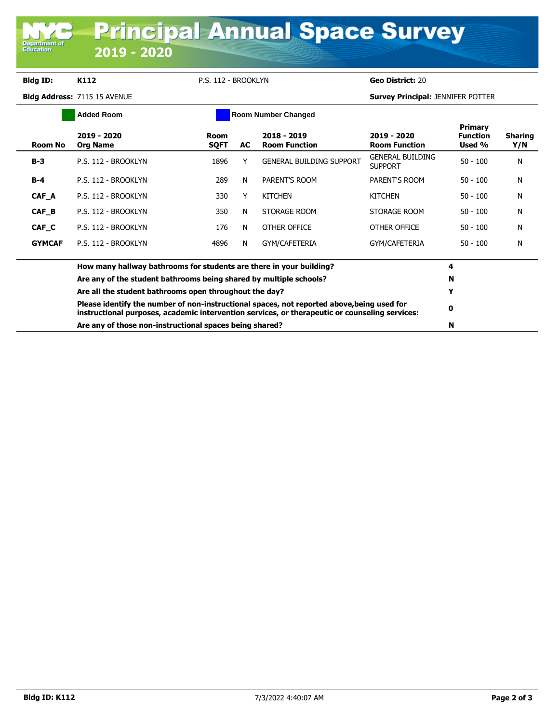## **Bldg ID: K112** P.S. 112 - BROOKLYN **Geo District:** 20

**Department of**<br>Education

**Bldg Address:** 7115 15 AVENUE **Survey Principal:** JENNIFER POTTER

| <b>Added Room</b> |                                                                                                                                                                                                                                                                                                                                                                                         | <b>Room Number Changed</b> |    |                                       |                                     |                                      |                       |
|-------------------|-----------------------------------------------------------------------------------------------------------------------------------------------------------------------------------------------------------------------------------------------------------------------------------------------------------------------------------------------------------------------------------------|----------------------------|----|---------------------------------------|-------------------------------------|--------------------------------------|-----------------------|
| Room No           | 2019 - 2020<br><b>Org Name</b>                                                                                                                                                                                                                                                                                                                                                          | Room<br><b>SQFT</b>        | AC | $2018 - 2019$<br><b>Room Function</b> | 2019 - 2020<br><b>Room Function</b> | Primary<br><b>Function</b><br>Used % | <b>Sharing</b><br>Y/N |
| $B-3$             | P.S. 112 - BROOKLYN                                                                                                                                                                                                                                                                                                                                                                     | 1896                       |    | <b>GENERAL BUILDING SUPPORT</b>       | GENERAL BUILDING<br><b>SUPPORT</b>  | $50 - 100$                           | N                     |
| B-4               | P.S. 112 - BROOKLYN                                                                                                                                                                                                                                                                                                                                                                     | 289                        | N  | PARENT'S ROOM                         | PARENT'S ROOM                       | $50 - 100$                           | N                     |
| CAF A             | P.S. 112 - BROOKLYN                                                                                                                                                                                                                                                                                                                                                                     | 330                        |    | <b>KITCHEN</b>                        | <b>KITCHEN</b>                      | $50 - 100$                           | N                     |
| CAF B             | P.S. 112 - BROOKLYN                                                                                                                                                                                                                                                                                                                                                                     | 350                        | N  | STORAGE ROOM                          | STORAGE ROOM                        | $50 - 100$                           | N                     |
| CAF C             | P.S. 112 - BROOKLYN                                                                                                                                                                                                                                                                                                                                                                     | 176                        | N  | OTHER OFFICE                          | OTHER OFFICE                        | $50 - 100$                           | N                     |
| <b>GYMCAF</b>     | P.S. 112 - BROOKLYN                                                                                                                                                                                                                                                                                                                                                                     | 4896                       | N  | GYM/CAFETERIA                         | GYM/CAFETERIA                       | $50 - 100$                           | N                     |
|                   | How many hallway bathrooms for students are there in your building?                                                                                                                                                                                                                                                                                                                     |                            |    |                                       |                                     | 4                                    |                       |
|                   | Are any of the student bathrooms being shared by multiple schools?<br>Are all the student bathrooms open throughout the day?<br>Please identify the number of non-instructional spaces, not reported above, being used for<br>instructional purposes, academic intervention services, or therapeutic or counseling services:<br>Are any of those non-instructional spaces being shared? |                            |    |                                       |                                     |                                      |                       |
|                   |                                                                                                                                                                                                                                                                                                                                                                                         |                            |    |                                       |                                     |                                      |                       |
|                   |                                                                                                                                                                                                                                                                                                                                                                                         |                            |    |                                       |                                     |                                      |                       |
|                   |                                                                                                                                                                                                                                                                                                                                                                                         |                            |    |                                       |                                     |                                      |                       |